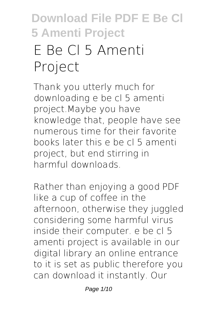# **E Be Cl 5 Amenti Project**

Thank you utterly much for downloading **e be cl 5 amenti project**.Maybe you have knowledge that, people have see numerous time for their favorite books later this e be cl 5 amenti project, but end stirring in harmful downloads.

Rather than enjoying a good PDF like a cup of coffee in the afternoon, otherwise they juggled considering some harmful virus inside their computer. **e be cl 5 amenti project** is available in our digital library an online entrance to it is set as public therefore you can download it instantly. Our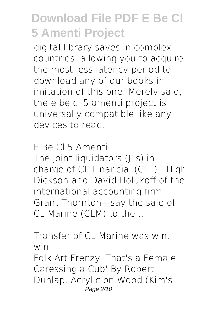digital library saves in complex countries, allowing you to acquire the most less latency period to download any of our books in imitation of this one. Merely said, the e be cl 5 amenti project is universally compatible like any devices to read.

**E Be Cl 5 Amenti** The joint liquidators (JLs) in charge of CL Financial (CLF)—High Dickson and David Holukoff of the international accounting firm Grant Thornton—say the sale of CL Marine (CLM) to the ...

**Transfer of CL Marine was win, win** Folk Art Frenzy 'That's a Female Caressing a Cub' By Robert Dunlap. Acrylic on Wood (Kim's Page 2/10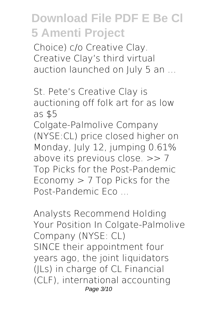Choice) c/o Creative Clay. Creative Clay's third virtual auction launched on July 5 an ...

**St. Pete's Creative Clay is auctioning off folk art for as low as \$5**

Colgate-Palmolive Company (NYSE:CL) price closed higher on Monday, July 12, jumping 0.61% above its previous close. >> 7 Top Picks for the Post-Pandemic Economy > 7 Top Picks for the Post-Pandemic Eco ...

**Analysts Recommend Holding Your Position In Colgate-Palmolive Company (NYSE: CL)** SINCE their appointment four years ago, the joint liquidators (JLs) in charge of CL Financial (CLF), international accounting Page 3/10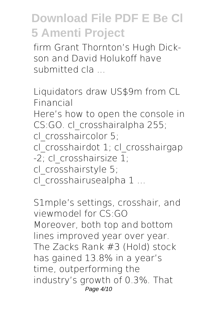firm Grant Thornton's Hugh Dickson and David Holukoff have submitted cla ...

**Liquidators draw US\$9m from CL Financial** Here's how to open the console in CS:GO. cl\_crosshairalpha 255; cl\_crosshaircolor 5; cl\_crosshairdot 1; cl\_crosshairgap -2; cl\_crosshairsize 1; cl\_crosshairstyle 5; cl\_crosshairusealpha 1 ...

**S1mple's settings, crosshair, and viewmodel for CS:GO** Moreover, both top and bottom lines improved year over year. The Zacks Rank #3 (Hold) stock has gained 13.8% in a year's time, outperforming the industry's growth of 0.3%. That Page 4/10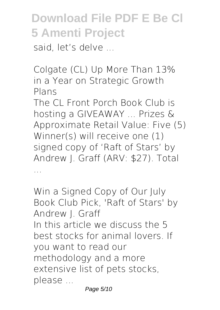said, let's delve

**Colgate (CL) Up More Than 13% in a Year on Strategic Growth Plans**

The CL Front Porch Book Club is hosting a GIVEAWAY ... Prizes & Approximate Retail Value: Five (5) Winner(s) will receive one (1) signed copy of 'Raft of Stars' by Andrew J. Graff (ARV: \$27). Total ...

**Win a Signed Copy of Our July Book Club Pick, 'Raft of Stars' by Andrew J. Graff** In this article we discuss the 5 best stocks for animal lovers. If you want to read our methodology and a more extensive list of pets stocks, please ...

Page 5/10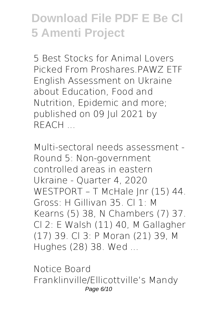**5 Best Stocks for Animal Lovers Picked From Proshares.PAWZ ETF** English Assessment on Ukraine about Education, Food and Nutrition, Epidemic and more; published on 09 Jul 2021 by REACH ...

**Multi-sectoral needs assessment - Round 5: Non-government controlled areas in eastern Ukraine - Quarter 4, 2020** WESTPORT – T McHale Jnr (15) 44. Gross: H Gillivan 35. Cl 1: M Kearns (5) 38, N Chambers (7) 37. Cl 2: E Walsh (11) 40, M Gallagher (17) 39. Cl 3: P Moran (21) 39, M Hughes (28) 38. Wed ...

**Notice Board** Franklinville/Ellicottville's Mandy Page 6/10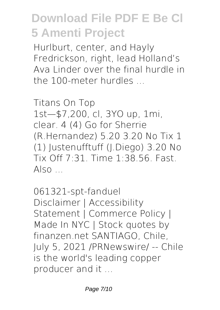Hurlburt, center, and Hayly Fredrickson, right, lead Holland's Ava Linder over the final hurdle in the 100-meter hurdles ...

**Titans On Top** 1st—\$7,200, cl, 3YO up, 1mi, clear. 4 (4) Go for Sherrie (R.Hernandez) 5.20 3.20 No Tix 1 (1) Justenufftuff (J.Diego) 3.20 No Tix Off 7:31. Time 1:38.56. Fast.  $Also$ 

**061321-spt-fanduel** Disclaimer | Accessibility Statement | Commerce Policy | Made In NYC | Stock quotes by finanzen.net SANTIAGO, Chile, July 5, 2021 /PRNewswire/ -- Chile is the world's leading copper producer and it ...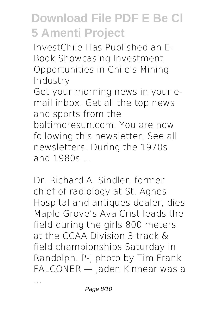**InvestChile Has Published an E-Book Showcasing Investment Opportunities in Chile's Mining Industry**

Get your morning news in your email inbox. Get all the top news and sports from the baltimoresun.com. You are now following this newsletter. See all newsletters. During the 1970s and 1980s ...

**Dr. Richard A. Sindler, former chief of radiology at St. Agnes Hospital and antiques dealer, dies** Maple Grove's Ava Crist leads the field during the girls 800 meters at the CCAA Division 3 track & field championships Saturday in Randolph. P-J photo by Tim Frank FALCONER — Jaden Kinnear was a

...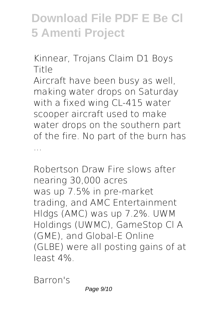**Kinnear, Trojans Claim D1 Boys Title**

Aircraft have been busy as well, making water drops on Saturday with a fixed wing CL-415 water scooper aircraft used to make water drops on the southern part of the fire. No part of the burn has ...

**Robertson Draw Fire slows after nearing 30,000 acres** was up 7.5% in pre-market trading, and AMC Entertainment Hldgs (AMC) was up 7.2%. UWM Holdings (UWMC), GameStop Cl A (GME), and Global-E Online (GLBE) were all posting gains of at least 4%.

**Barron's**